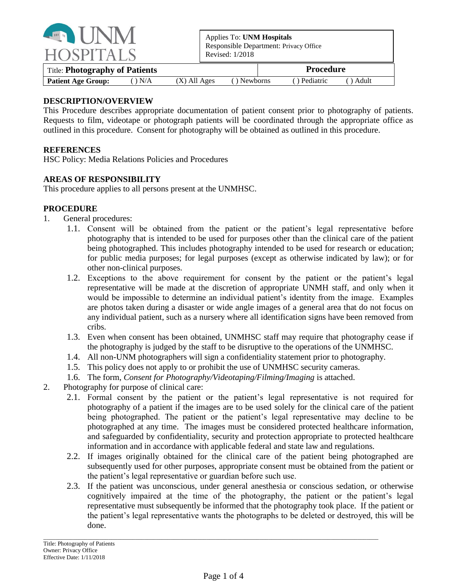

Applies To: **UNM Hospitals** Responsible Department: Privacy Office Revised: 1/2018

| Title: <b>Photography of Patients</b> |                |                |             | <b>Procedure</b>         |
|---------------------------------------|----------------|----------------|-------------|--------------------------|
| <b>Patient Age Group:</b>             | $\bigcirc$ N/A | $(X)$ All Ages | () Newborns | () Pediatric<br>() Adult |

## **DESCRIPTION/OVERVIEW**

This Procedure describes appropriate documentation of patient consent prior to photography of patients. Requests to film, videotape or photograph patients will be coordinated through the appropriate office as outlined in this procedure. Consent for photography will be obtained as outlined in this procedure.

#### **REFERENCES**

HSC Policy: Media Relations Policies and Procedures

## **AREAS OF RESPONSIBILITY**

This procedure applies to all persons present at the UNMHSC.

#### **PROCEDURE**

- 1. General procedures:
	- 1.1. Consent will be obtained from the patient or the patient's legal representative before photography that is intended to be used for purposes other than the clinical care of the patient being photographed. This includes photography intended to be used for research or education; for public media purposes; for legal purposes (except as otherwise indicated by law); or for other non-clinical purposes.
	- 1.2. Exceptions to the above requirement for consent by the patient or the patient's legal representative will be made at the discretion of appropriate UNMH staff, and only when it would be impossible to determine an individual patient's identity from the image. Examples are photos taken during a disaster or wide angle images of a general area that do not focus on any individual patient, such as a nursery where all identification signs have been removed from cribs.
	- 1.3. Even when consent has been obtained, UNMHSC staff may require that photography cease if the photography is judged by the staff to be disruptive to the operations of the UNMHSC.
	- 1.4. All non-UNM photographers will sign a confidentiality statement prior to photography.
	- 1.5. This policy does not apply to or prohibit the use of UNMHSC security cameras.
	- 1.6. The form, *Consent for Photography/Videotaping/Filming/Imaging* is attached.
- 2. Photography for purpose of clinical care:
	- 2.1. Formal consent by the patient or the patient's legal representative is not required for photography of a patient if the images are to be used solely for the clinical care of the patient being photographed. The patient or the patient's legal representative may decline to be photographed at any time. The images must be considered protected healthcare information, and safeguarded by confidentiality, security and protection appropriate to protected healthcare information and in accordance with applicable federal and state law and regulations.
	- 2.2. If images originally obtained for the clinical care of the patient being photographed are subsequently used for other purposes, appropriate consent must be obtained from the patient or the patient's legal representative or guardian before such use.
	- 2.3. If the patient was unconscious, under general anesthesia or conscious sedation, or otherwise cognitively impaired at the time of the photography, the patient or the patient's legal representative must subsequently be informed that the photography took place. If the patient or the patient's legal representative wants the photographs to be deleted or destroyed, this will be done.

 $\_$  ,  $\_$  ,  $\_$  ,  $\_$  ,  $\_$  ,  $\_$  ,  $\_$  ,  $\_$  ,  $\_$  ,  $\_$  ,  $\_$  ,  $\_$  ,  $\_$  ,  $\_$  ,  $\_$  ,  $\_$  ,  $\_$  ,  $\_$  ,  $\_$  ,  $\_$  ,  $\_$  ,  $\_$  ,  $\_$  ,  $\_$  ,  $\_$  ,  $\_$  ,  $\_$  ,  $\_$  ,  $\_$  ,  $\_$  ,  $\_$  ,  $\_$  ,  $\_$  ,  $\_$  ,  $\_$  ,  $\_$  ,  $\_$  ,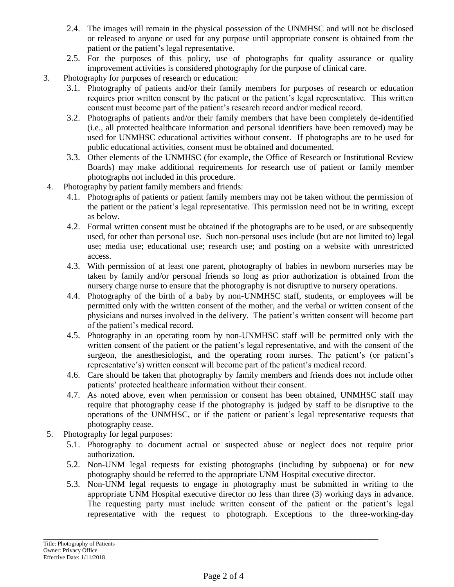- 2.4. The images will remain in the physical possession of the UNMHSC and will not be disclosed or released to anyone or used for any purpose until appropriate consent is obtained from the patient or the patient's legal representative.
- 2.5. For the purposes of this policy, use of photographs for quality assurance or quality improvement activities is considered photography for the purpose of clinical care.
- 3. Photography for purposes of research or education:
	- 3.1. Photography of patients and/or their family members for purposes of research or education requires prior written consent by the patient or the patient's legal representative. This written consent must become part of the patient's research record and/or medical record.
	- 3.2. Photographs of patients and/or their family members that have been completely de-identified (i.e., all protected healthcare information and personal identifiers have been removed) may be used for UNMHSC educational activities without consent. If photographs are to be used for public educational activities, consent must be obtained and documented.
	- 3.3. Other elements of the UNMHSC (for example, the Office of Research or Institutional Review Boards) may make additional requirements for research use of patient or family member photographs not included in this procedure.
- 4. Photography by patient family members and friends:
	- 4.1. Photographs of patients or patient family members may not be taken without the permission of the patient or the patient's legal representative. This permission need not be in writing, except as below.
	- 4.2. Formal written consent must be obtained if the photographs are to be used, or are subsequently used, for other than personal use. Such non-personal uses include (but are not limited to) legal use; media use; educational use; research use; and posting on a website with unrestricted access.
	- 4.3. With permission of at least one parent, photography of babies in newborn nurseries may be taken by family and/or personal friends so long as prior authorization is obtained from the nursery charge nurse to ensure that the photography is not disruptive to nursery operations.
	- 4.4. Photography of the birth of a baby by non-UNMHSC staff, students, or employees will be permitted only with the written consent of the mother, and the verbal or written consent of the physicians and nurses involved in the delivery. The patient's written consent will become part of the patient's medical record.
	- 4.5. Photography in an operating room by non-UNMHSC staff will be permitted only with the written consent of the patient or the patient's legal representative, and with the consent of the surgeon, the anesthesiologist, and the operating room nurses. The patient's (or patient's representative's) written consent will become part of the patient's medical record.
	- 4.6. Care should be taken that photography by family members and friends does not include other patients' protected healthcare information without their consent.
	- 4.7. As noted above, even when permission or consent has been obtained, UNMHSC staff may require that photography cease if the photography is judged by staff to be disruptive to the operations of the UNMHSC, or if the patient or patient's legal representative requests that photography cease.
- 5. Photography for legal purposes:
	- 5.1. Photography to document actual or suspected abuse or neglect does not require prior authorization.
	- 5.2. Non-UNM legal requests for existing photographs (including by subpoena) or for new photography should be referred to the appropriate UNM Hospital executive director.
	- 5.3. Non-UNM legal requests to engage in photography must be submitted in writing to the appropriate UNM Hospital executive director no less than three (3) working days in advance. The requesting party must include written consent of the patient or the patient's legal representative with the request to photograph. Exceptions to the three-working-day

 $\_$  ,  $\_$  ,  $\_$  ,  $\_$  ,  $\_$  ,  $\_$  ,  $\_$  ,  $\_$  ,  $\_$  ,  $\_$  ,  $\_$  ,  $\_$  ,  $\_$  ,  $\_$  ,  $\_$  ,  $\_$  ,  $\_$  ,  $\_$  ,  $\_$  ,  $\_$  ,  $\_$  ,  $\_$  ,  $\_$  ,  $\_$  ,  $\_$  ,  $\_$  ,  $\_$  ,  $\_$  ,  $\_$  ,  $\_$  ,  $\_$  ,  $\_$  ,  $\_$  ,  $\_$  ,  $\_$  ,  $\_$  ,  $\_$  ,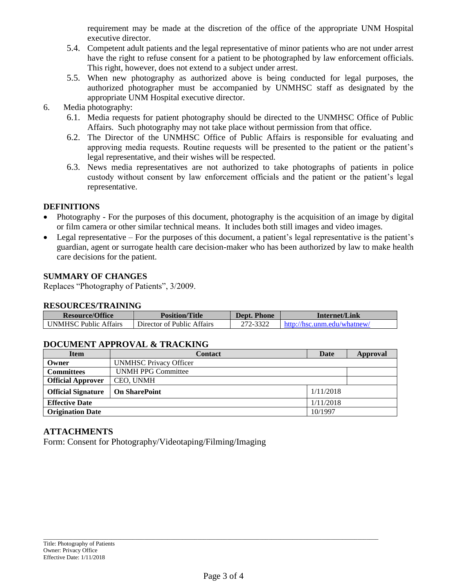requirement may be made at the discretion of the office of the appropriate UNM Hospital executive director.

- 5.4. Competent adult patients and the legal representative of minor patients who are not under arrest have the right to refuse consent for a patient to be photographed by law enforcement officials. This right, however, does not extend to a subject under arrest.
- 5.5. When new photography as authorized above is being conducted for legal purposes, the authorized photographer must be accompanied by UNMHSC staff as designated by the appropriate UNM Hospital executive director.
- 6. Media photography:
	- 6.1. Media requests for patient photography should be directed to the UNMHSC Office of Public Affairs. Such photography may not take place without permission from that office.
	- 6.2. The Director of the UNMHSC Office of Public Affairs is responsible for evaluating and approving media requests. Routine requests will be presented to the patient or the patient's legal representative, and their wishes will be respected.
	- 6.3. News media representatives are not authorized to take photographs of patients in police custody without consent by law enforcement officials and the patient or the patient's legal representative.

# **DEFINITIONS**

- Photography For the purposes of this document, photography is the acquisition of an image by digital or film camera or other similar technical means. It includes both still images and video images.
- Legal representative For the purposes of this document, a patient's legal representative is the patient's guardian, agent or surrogate health care decision-maker who has been authorized by law to make health care decisions for the patient.

# **SUMMARY OF CHANGES**

Replaces "Photography of Patients", 3/2009.

#### **RESOURCES/TRAINING**

| <b>Resource/Office</b>       | <b>Position/Title</b>      | Dept. Phone | Internet/Link               |
|------------------------------|----------------------------|-------------|-----------------------------|
| <b>UNMHSC Public Affairs</b> | Director of Public Affairs | 272-3322    | http://hsc.unm.edu/whatnew/ |

# **DOCUMENT APPROVAL & TRACKING**

| <b>Item</b>               | <b>Contact</b>                | Date      | Approval |
|---------------------------|-------------------------------|-----------|----------|
| Owner                     | <b>UNMHSC Privacy Officer</b> |           |          |
| <b>Committees</b>         | <b>UNMH PPG Committee</b>     |           |          |
| <b>Official Approver</b>  | CEO, UNMH                     |           |          |
| <b>Official Signature</b> | <b>On SharePoint</b>          | 1/11/2018 |          |
| <b>Effective Date</b>     |                               | 1/11/2018 |          |
| <b>Origination Date</b>   |                               | 10/1997   |          |

## **ATTACHMENTS**

Form: Consent for Photography/Videotaping/Filming/Imaging